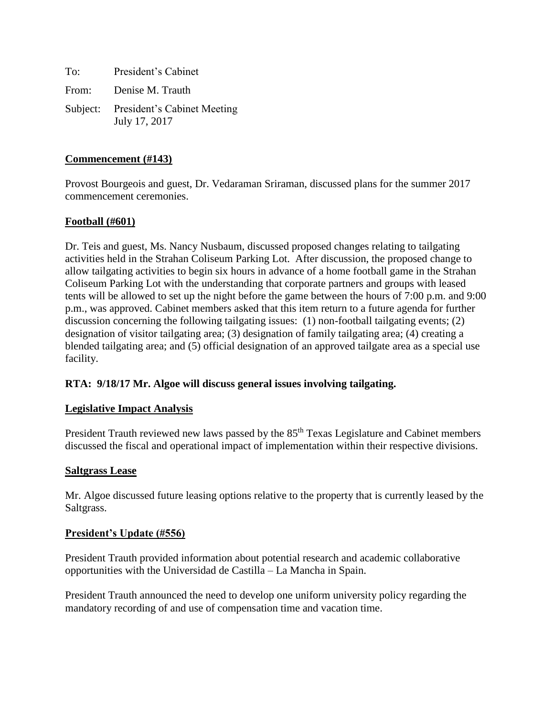To: President's Cabinet From: Denise M. Trauth Subject: President's Cabinet Meeting July 17, 2017

### **Commencement (#143)**

Provost Bourgeois and guest, Dr. Vedaraman Sriraman, discussed plans for the summer 2017 commencement ceremonies.

### **Football (#601)**

Dr. Teis and guest, Ms. Nancy Nusbaum, discussed proposed changes relating to tailgating activities held in the Strahan Coliseum Parking Lot. After discussion, the proposed change to allow tailgating activities to begin six hours in advance of a home football game in the Strahan Coliseum Parking Lot with the understanding that corporate partners and groups with leased tents will be allowed to set up the night before the game between the hours of 7:00 p.m. and 9:00 p.m., was approved. Cabinet members asked that this item return to a future agenda for further discussion concerning the following tailgating issues: (1) non-football tailgating events; (2) designation of visitor tailgating area; (3) designation of family tailgating area; (4) creating a blended tailgating area; and (5) official designation of an approved tailgate area as a special use facility.

#### **RTA: 9/18/17 Mr. Algoe will discuss general issues involving tailgating.**

#### **Legislative Impact Analysis**

President Trauth reviewed new laws passed by the 85<sup>th</sup> Texas Legislature and Cabinet members discussed the fiscal and operational impact of implementation within their respective divisions.

#### **Saltgrass Lease**

Mr. Algoe discussed future leasing options relative to the property that is currently leased by the Saltgrass.

#### **President's Update (#556)**

President Trauth provided information about potential research and academic collaborative opportunities with the Universidad de Castilla – La Mancha in Spain.

President Trauth announced the need to develop one uniform university policy regarding the mandatory recording of and use of compensation time and vacation time.